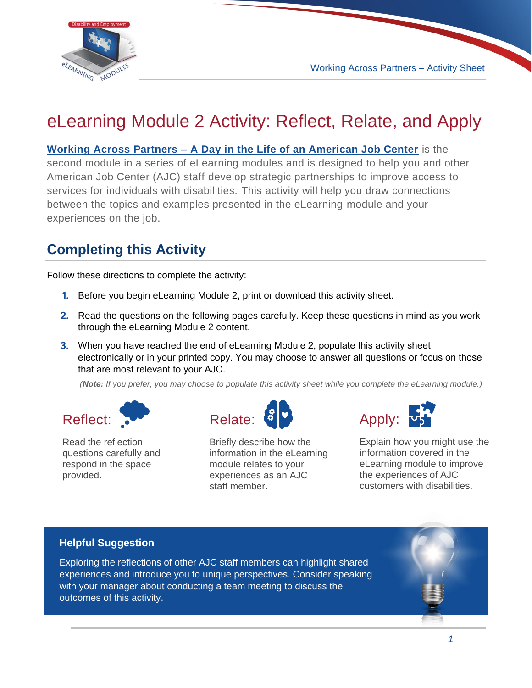

## eLearning Module 2 Activity: Reflect, Relate, and Apply

**[Working Across Partners – A Day in the Life of an American Job Center](https://disability.workforcegps.org/resources/2020/04/08/14/30/Working-Across-Partners-A-Day-in-the-Life-of-an-American-Job-Center)** is the second module in a series of eLearning modules and is designed to help you and other American Job Center (AJC) staff develop strategic partnerships to improve access to services for individuals with disabilities. This activity will help you draw connections between the topics and examples presented in the eLearning module and your experiences on the job.

## **Completing this Activity**

Follow these directions to complete the activity:

- **1.** Before you begin eLearning Module 2, print or download this activity sheet.
- **2.** Read the questions on the following pages carefully. Keep these questions in mind as you work through the eLearning Module 2 content.
- **3.** When you have reached the end of eLearning Module 2, populate this activity sheet electronically or in your printed copy. You may choose to answer all questions or focus on those that are most relevant to your AJC.

*(Note: If you prefer, you may choose to populate this activity sheet while you complete the eLearning module.)*



Read the reflection questions carefully and respond in the space provided.



Briefly describe how the information in the eLearning module relates to your experiences as an AJC staff member.



Explain how you might use the information covered in the eLearning module to improve the experiences of AJC customers with disabilities.

## **Helpful Suggestion**

Exploring the reflections of other AJC staff members can highlight shared experiences and introduce you to unique perspectives. Consider speaking with your manager about conducting a team meeting to discuss the outcomes of this activity.

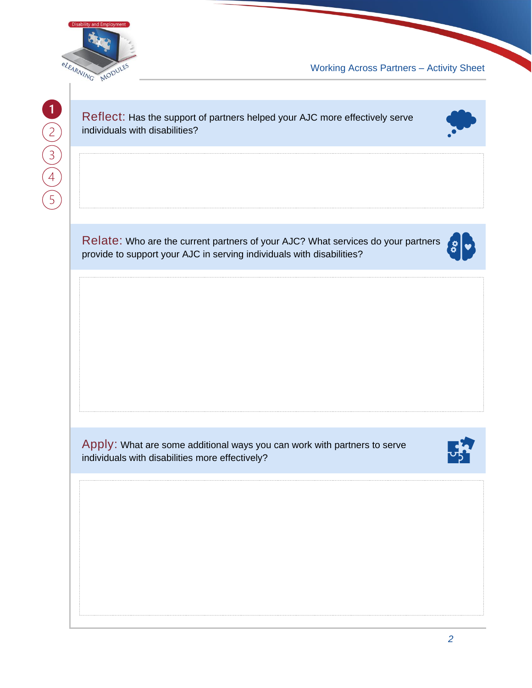

Working Across Partners – Activity Sheet

Reflect: Has the support of partners helped your AJC more effectively serve individuals with disabilities?



Relate: Who are the current partners of your AJC? What services do your partners provide to support your AJC in serving individuals with disabilities?

Apply: What are some additional ways you can work with partners to serve individuals with disabilities more effectively?

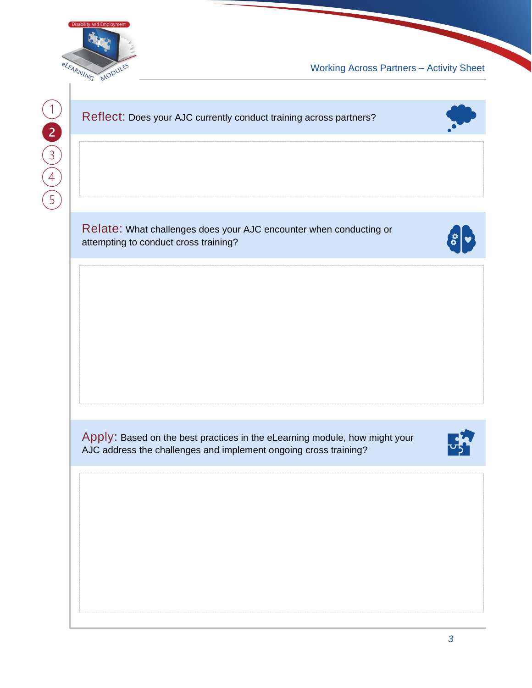

Working Across Partners – Activity Sheet



Relate: What challenges does your AJC encounter when conducting or attempting to conduct cross training?



Apply: Based on the best practices in the eLearning module, how might your AJC address the challenges and implement ongoing cross training?

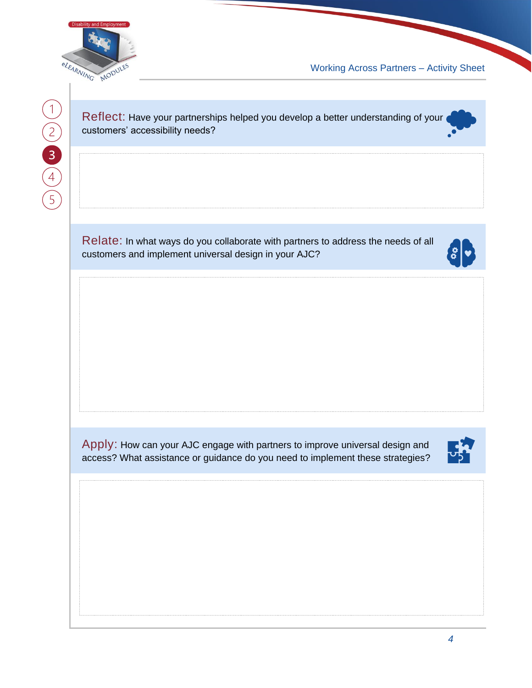

Working Across Partners – Activity Sheet

Reflect: Have your partnerships helped you develop a better understanding of your customers' accessibility needs?

Relate: In what ways do you collaborate with partners to address the needs of all customers and implement universal design in your AJC?



Apply: How can your AJC engage with partners to improve universal design and access? What assistance or guidance do you need to implement these strategies?

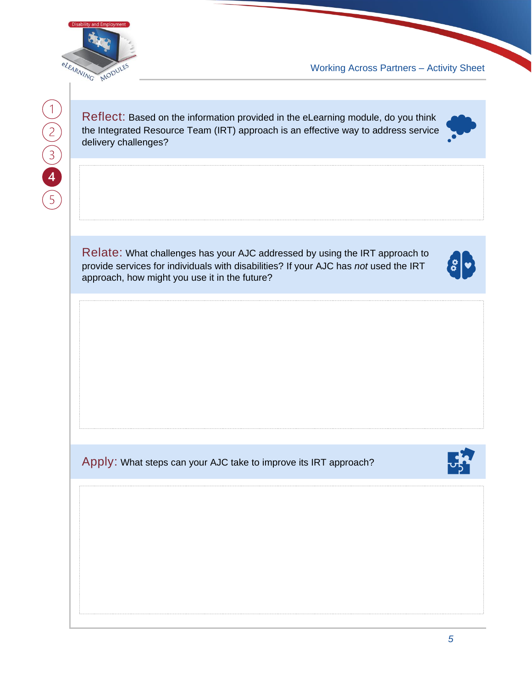

 $\begin{pmatrix} 1 \\ 2 \\ 3 \\ 4 \\ 5 \end{pmatrix}$ 

Working Across Partners – Activity Sheet

Reflect: Based on the information provided in the eLearning module, do you think the Integrated Resource Team (IRT) approach is an effective way to address service delivery challenges?

Relate: What challenges has your AJC addressed by using the IRT approach to provide services for individuals with disabilities? If your AJC has *not* used the IRT approach, how might you use it in the future?



Apply: What steps can your AJC take to improve its IRT approach?